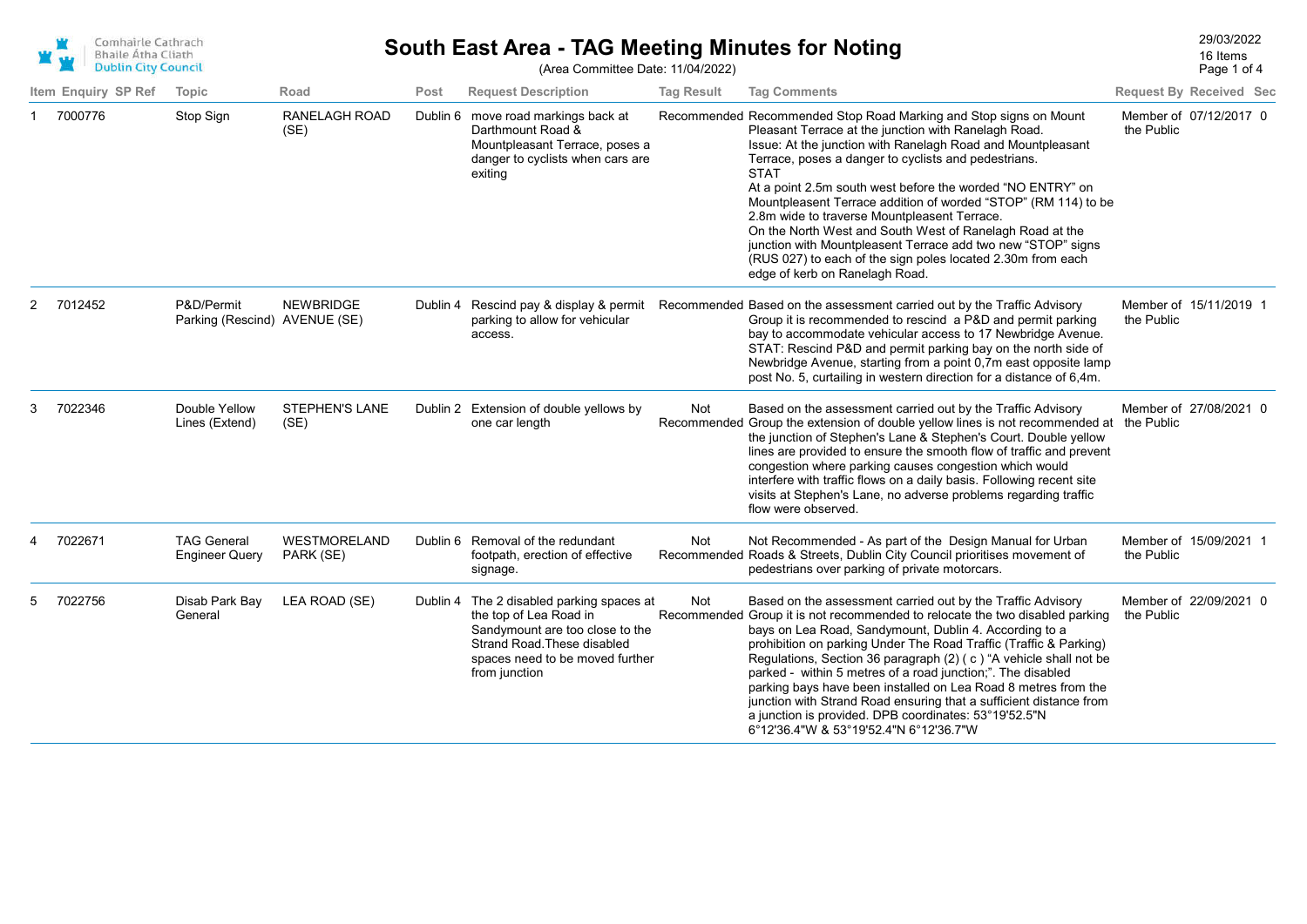

## 29/03/2022 **South East Area - TAG Meeting Minutes for Noting** (Area Committee Date: 11/04/2022)

Page 1 of 4 16 Items

|   | Item Enguiry SP Ref | Topic                                       | Road                          | Post     | <b>Request Description</b>                                                                                                                                                                | <b>Tag Result</b> | <b>Tag Comments</b>                                                                                                                                                                                                                                                                                                                                                                                                                                                                                                                                                                                                                                                          |            | <b>Request By Received Sec</b> |
|---|---------------------|---------------------------------------------|-------------------------------|----------|-------------------------------------------------------------------------------------------------------------------------------------------------------------------------------------------|-------------------|------------------------------------------------------------------------------------------------------------------------------------------------------------------------------------------------------------------------------------------------------------------------------------------------------------------------------------------------------------------------------------------------------------------------------------------------------------------------------------------------------------------------------------------------------------------------------------------------------------------------------------------------------------------------------|------------|--------------------------------|
|   | 7000776             | Stop Sign                                   | <b>RANELAGH ROAD</b><br>(SE)  | Dublin 6 | move road markings back at<br>Darthmount Road &<br>Mountpleasant Terrace, poses a<br>danger to cyclists when cars are<br>exiting                                                          |                   | Recommended Recommended Stop Road Marking and Stop signs on Mount<br>Pleasant Terrace at the junction with Ranelagh Road.<br>Issue: At the junction with Ranelagh Road and Mountpleasant<br>Terrace, poses a danger to cyclists and pedestrians.<br><b>STAT</b><br>At a point 2.5m south west before the worded "NO ENTRY" on<br>Mountpleasent Terrace addition of worded "STOP" (RM 114) to be<br>2.8m wide to traverse Mountpleasent Terrace.<br>On the North West and South West of Ranelagh Road at the<br>junction with Mountpleasent Terrace add two new "STOP" signs<br>(RUS 027) to each of the sign poles located 2.30m from each<br>edge of kerb on Ranelagh Road. | the Public | Member of 07/12/2017 0         |
| 2 | 7012452             | P&D/Permit<br>Parking (Rescind) AVENUE (SE) | <b>NEWBRIDGE</b>              |          | parking to allow for vehicular<br>access.                                                                                                                                                 |                   | Dublin 4 Rescind pay & display & permit Recommended Based on the assessment carried out by the Traffic Advisory<br>Group it is recommended to rescind a P&D and permit parking<br>bay to accommodate vehicular access to 17 Newbridge Avenue.<br>STAT: Rescind P&D and permit parking bay on the north side of<br>Newbridge Avenue, starting from a point 0,7m east opposite lamp<br>post No. 5, curtailing in western direction for a distance of 6,4m.                                                                                                                                                                                                                     | the Public | Member of 15/11/2019 1         |
| 3 | 7022346             | Double Yellow<br>Lines (Extend)             | <b>STEPHEN'S LANE</b><br>(SE) |          | Dublin 2 Extension of double yellows by<br>one car length                                                                                                                                 | Not               | Based on the assessment carried out by the Traffic Advisory<br>Recommended Group the extension of double yellow lines is not recommended at the Public<br>the junction of Stephen's Lane & Stephen's Court. Double yellow<br>lines are provided to ensure the smooth flow of traffic and prevent<br>congestion where parking causes congestion which would<br>interfere with traffic flows on a daily basis. Following recent site<br>visits at Stephen's Lane, no adverse problems regarding traffic<br>flow were observed.                                                                                                                                                 |            | Member of 27/08/2021 0         |
|   | 7022671             | <b>TAG General</b><br><b>Engineer Query</b> | WESTMORELAND<br>PARK (SE)     |          | Dublin 6 Removal of the redundant<br>footpath, erection of effective<br>signage.                                                                                                          | Not               | Not Recommended - As part of the Design Manual for Urban<br>Recommended Roads & Streets, Dublin City Council prioritises movement of<br>pedestrians over parking of private motorcars.                                                                                                                                                                                                                                                                                                                                                                                                                                                                                       | the Public | Member of 15/09/2021 1         |
|   | 7022756             | Disab Park Bay<br>General                   | LEA ROAD (SE)                 |          | Dublin 4 The 2 disabled parking spaces at<br>the top of Lea Road in<br>Sandymount are too close to the<br>Strand Road. These disabled<br>spaces need to be moved further<br>from junction | Not               | Based on the assessment carried out by the Traffic Advisory<br>Recommended Group it is not recommended to relocate the two disabled parking<br>bays on Lea Road, Sandymount, Dublin 4. According to a<br>prohibition on parking Under The Road Traffic (Traffic & Parking)<br>Regulations, Section 36 paragraph (2) (c) "A vehicle shall not be<br>parked - within 5 metres of a road junction;". The disabled<br>parking bays have been installed on Lea Road 8 metres from the<br>junction with Strand Road ensuring that a sufficient distance from<br>a junction is provided. DPB coordinates: 53°19'52.5"N<br>6°12'36.4"W & 53°19'52.4"N 6°12'36.7"W                    | the Public | Member of 22/09/2021 0         |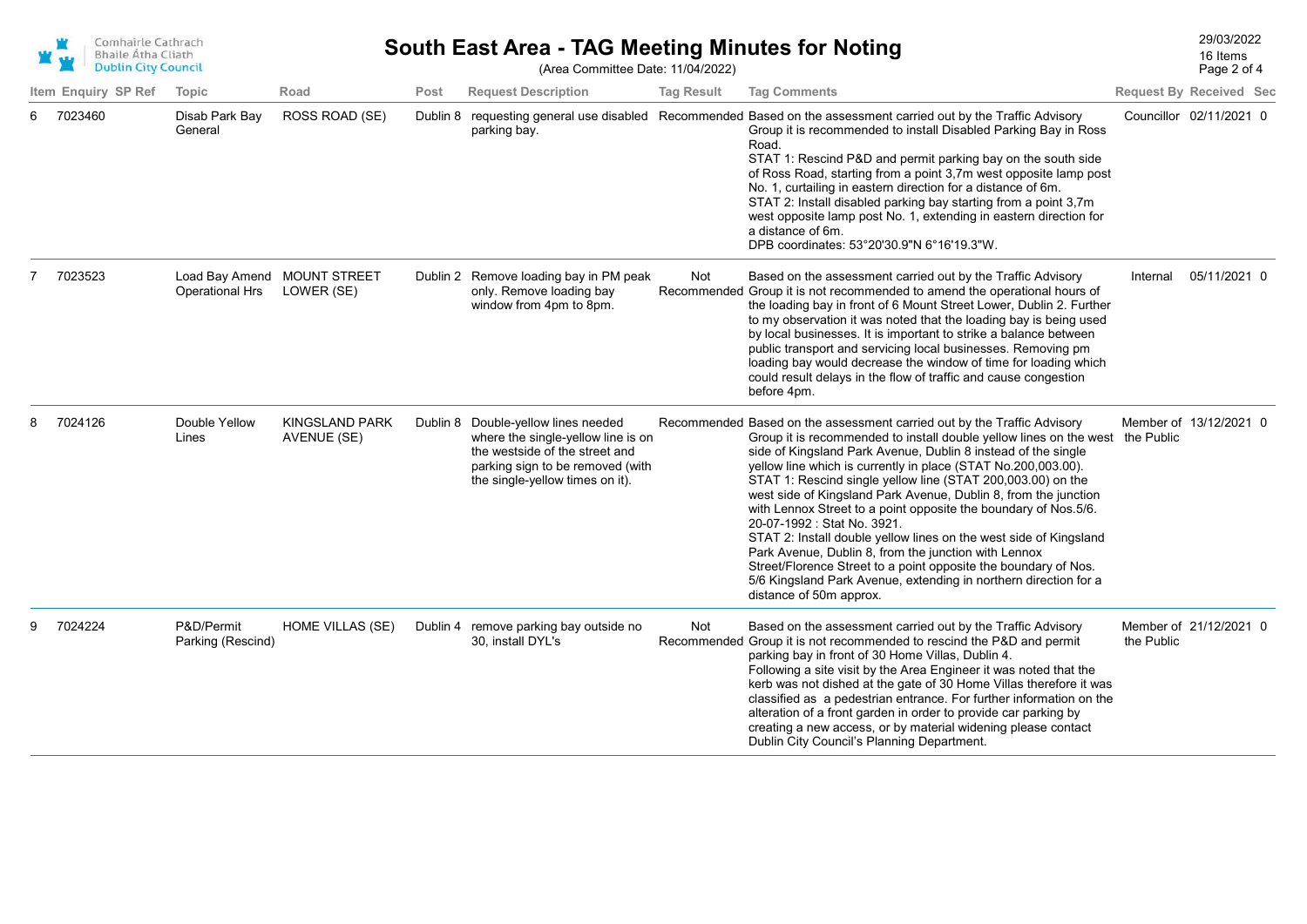

## 29/03/2022 **South East Area - TAG Meeting Minutes for Noting** (Area Committee Date: 11/04/2022)

Page 2 of 4 16 Items

|    | Item Enquiry SP Ref | Topic                           | Road                                      | Post | <b>Request Description</b>                                                                                                                                                         | <b>Tag Result</b> | <b>Tag Comments</b>                                                                                                                                                                                                                                                                                                                                                                                                                                                                                                                                                                                                                                                                                                                                                                                                           |            | <b>Request By Received Sec</b> |
|----|---------------------|---------------------------------|-------------------------------------------|------|------------------------------------------------------------------------------------------------------------------------------------------------------------------------------------|-------------------|-------------------------------------------------------------------------------------------------------------------------------------------------------------------------------------------------------------------------------------------------------------------------------------------------------------------------------------------------------------------------------------------------------------------------------------------------------------------------------------------------------------------------------------------------------------------------------------------------------------------------------------------------------------------------------------------------------------------------------------------------------------------------------------------------------------------------------|------------|--------------------------------|
| 6  | 7023460             | Disab Park Bay<br>General       | ROSS ROAD (SE)                            |      | parking bay.                                                                                                                                                                       |                   | Dublin 8 requesting general use disabled Recommended Based on the assessment carried out by the Traffic Advisory<br>Group it is recommended to install Disabled Parking Bay in Ross<br>Road.<br>STAT 1: Rescind P&D and permit parking bay on the south side<br>of Ross Road, starting from a point 3,7m west opposite lamp post<br>No. 1, curtailing in eastern direction for a distance of 6m.<br>STAT 2: Install disabled parking bay starting from a point 3,7m<br>west opposite lamp post No. 1, extending in eastern direction for<br>a distance of 6m.<br>DPB coordinates: 53°20'30.9"N 6°16'19.3"W.                                                                                                                                                                                                                   |            | Councillor 02/11/2021 0        |
|    | 7023523             | <b>Operational Hrs</b>          | Load Bay Amend MOUNT STREET<br>LOWER (SE) |      | Dublin 2 Remove loading bay in PM peak<br>only. Remove loading bay<br>window from 4pm to 8pm.                                                                                      | Not               | Based on the assessment carried out by the Traffic Advisory<br>Recommended Group it is not recommended to amend the operational hours of<br>the loading bay in front of 6 Mount Street Lower, Dublin 2. Further<br>to my observation it was noted that the loading bay is being used<br>by local businesses. It is important to strike a balance between<br>public transport and servicing local businesses. Removing pm<br>loading bay would decrease the window of time for loading which<br>could result delays in the flow of traffic and cause congestion<br>before 4pm.                                                                                                                                                                                                                                                 | Internal   | 05/11/2021 0                   |
| 8. | 7024126             | Double Yellow<br>Lines          | <b>KINGSLAND PARK</b><br>AVENUE (SE)      |      | Dublin 8 Double-yellow lines needed<br>where the single-yellow line is on<br>the westside of the street and<br>parking sign to be removed (with<br>the single-yellow times on it). |                   | Recommended Based on the assessment carried out by the Traffic Advisory<br>Group it is recommended to install double yellow lines on the west the Public<br>side of Kingsland Park Avenue, Dublin 8 instead of the single<br>yellow line which is currently in place (STAT No.200,003.00).<br>STAT 1: Rescind single yellow line (STAT 200,003.00) on the<br>west side of Kingsland Park Avenue, Dublin 8, from the junction<br>with Lennox Street to a point opposite the boundary of Nos.5/6.<br>20-07-1992 : Stat No. 3921.<br>STAT 2: Install double yellow lines on the west side of Kingsland<br>Park Avenue, Dublin 8, from the junction with Lennox<br>Street/Florence Street to a point opposite the boundary of Nos.<br>5/6 Kingsland Park Avenue, extending in northern direction for a<br>distance of 50m approx. |            | Member of 13/12/2021 0         |
| 9  | 7024224             | P&D/Permit<br>Parking (Rescind) | <b>HOME VILLAS (SE)</b>                   |      | Dublin 4 remove parking bay outside no<br>30, install DYL's                                                                                                                        | Not               | Based on the assessment carried out by the Traffic Advisory<br>Recommended Group it is not recommended to rescind the P&D and permit<br>parking bay in front of 30 Home Villas, Dublin 4.<br>Following a site visit by the Area Engineer it was noted that the<br>kerb was not dished at the gate of 30 Home Villas therefore it was<br>classified as a pedestrian entrance. For further information on the<br>alteration of a front garden in order to provide car parking by<br>creating a new access, or by material widening please contact<br>Dublin City Council's Planning Department.                                                                                                                                                                                                                                 | the Public | Member of 21/12/2021 0         |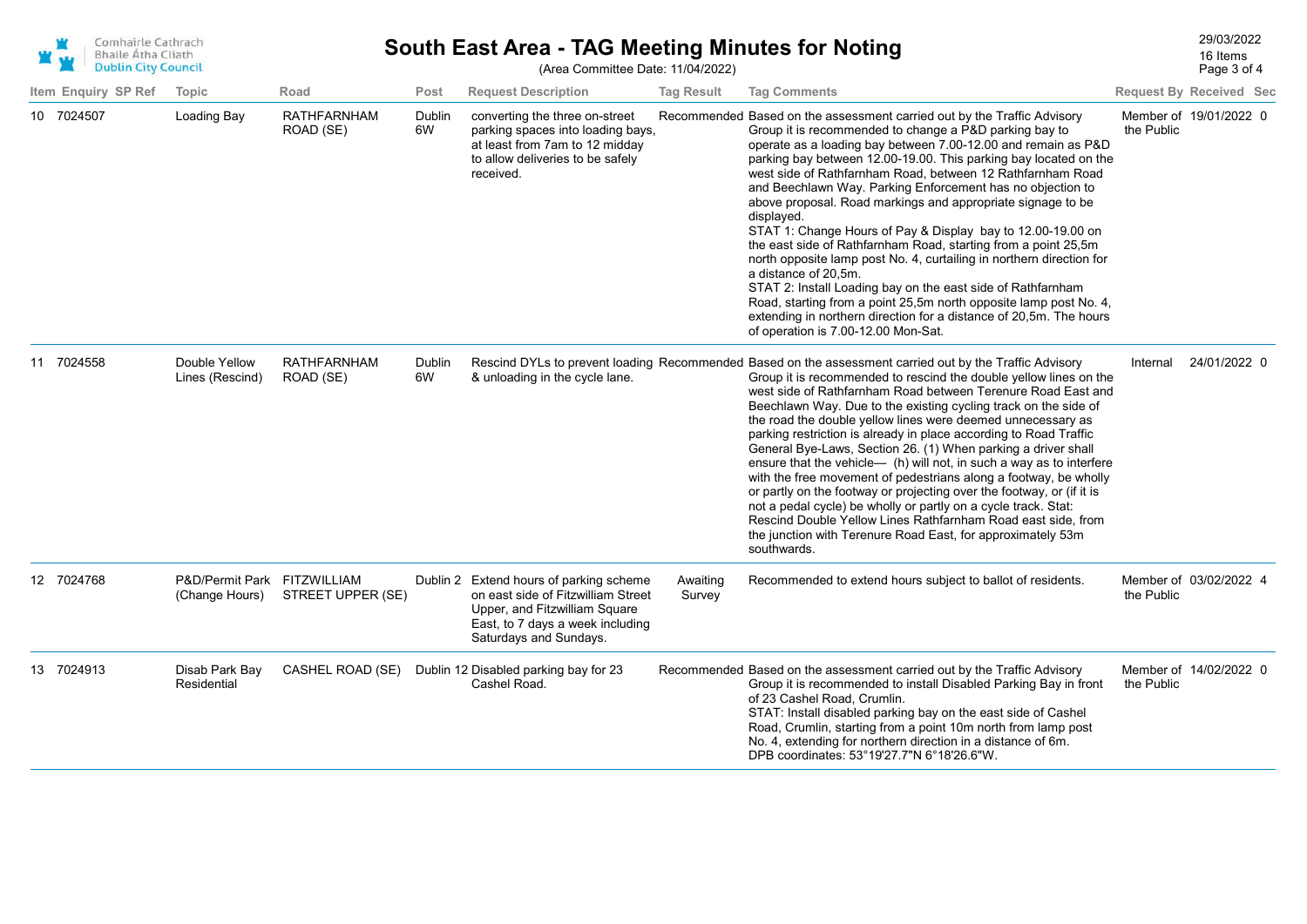| Comhairle Cathrach         |
|----------------------------|
| <b>Bhaile Atha Cliath</b>  |
| <b>Dublin City Council</b> |

## 29/03/2022 **South East Area - TAG Meeting Minutes for Noting**

Page 3 of 4 16 Items

| <b>DUDLIN CIty Council</b> |                                               |                                 |              | (Area Committee Date: 11/04/2022)                                                                                                                                            |                    |                                                                                                                                                                                                                                                                                                                                                                                                                                                                                                                                                                                                                                                                                                                                                                                                                                                                                                                                                                   | Page 3 of 4 |                                |  |  |
|----------------------------|-----------------------------------------------|---------------------------------|--------------|------------------------------------------------------------------------------------------------------------------------------------------------------------------------------|--------------------|-------------------------------------------------------------------------------------------------------------------------------------------------------------------------------------------------------------------------------------------------------------------------------------------------------------------------------------------------------------------------------------------------------------------------------------------------------------------------------------------------------------------------------------------------------------------------------------------------------------------------------------------------------------------------------------------------------------------------------------------------------------------------------------------------------------------------------------------------------------------------------------------------------------------------------------------------------------------|-------------|--------------------------------|--|--|
| Item Enguiry SP Ref        | Topic                                         | Road                            | Post         | <b>Request Description</b>                                                                                                                                                   | <b>Tag Result</b>  | <b>Tag Comments</b>                                                                                                                                                                                                                                                                                                                                                                                                                                                                                                                                                                                                                                                                                                                                                                                                                                                                                                                                               |             | <b>Request By Received Sec</b> |  |  |
| 10 7024507                 | Loading Bay                                   | <b>RATHFARNHAM</b><br>ROAD (SE) | Dublin<br>6W | converting the three on-street<br>parking spaces into loading bays,<br>at least from 7am to 12 midday<br>to allow deliveries to be safely<br>received.                       |                    | Recommended Based on the assessment carried out by the Traffic Advisory<br>Group it is recommended to change a P&D parking bay to<br>operate as a loading bay between 7.00-12.00 and remain as P&D<br>parking bay between 12.00-19.00. This parking bay located on the<br>west side of Rathfarnham Road, between 12 Rathfarnham Road<br>and Beechlawn Way. Parking Enforcement has no objection to<br>above proposal. Road markings and appropriate signage to be<br>displayed.<br>STAT 1: Change Hours of Pay & Display bay to 12.00-19.00 on<br>the east side of Rathfarnham Road, starting from a point 25,5m<br>north opposite lamp post No. 4, curtailing in northern direction for<br>a distance of 20,5m.<br>STAT 2: Install Loading bay on the east side of Rathfarnham<br>Road, starting from a point 25,5m north opposite lamp post No. 4,<br>extending in northern direction for a distance of 20,5m. The hours<br>of operation is 7.00-12.00 Mon-Sat. | the Public  | Member of 19/01/2022 0         |  |  |
| 11 7024558                 | Double Yellow<br>Lines (Rescind)              | <b>RATHFARNHAM</b><br>ROAD (SE) | Dublin<br>6W | & unloading in the cycle lane.                                                                                                                                               |                    | Rescind DYLs to prevent loading Recommended Based on the assessment carried out by the Traffic Advisory<br>Group it is recommended to rescind the double yellow lines on the<br>west side of Rathfarnham Road between Terenure Road East and<br>Beechlawn Way. Due to the existing cycling track on the side of<br>the road the double yellow lines were deemed unnecessary as<br>parking restriction is already in place according to Road Traffic<br>General Bye-Laws, Section 26. (1) When parking a driver shall<br>ensure that the vehicle- (h) will not, in such a way as to interfere<br>with the free movement of pedestrians along a footway, be wholly<br>or partly on the footway or projecting over the footway, or (if it is<br>not a pedal cycle) be wholly or partly on a cycle track. Stat:<br>Rescind Double Yellow Lines Rathfarnham Road east side, from<br>the junction with Terenure Road East, for approximately 53m<br>southwards.         | Internal    | 24/01/2022 0                   |  |  |
| 12 7024768                 | P&D/Permit Park FITZWILLIAM<br>(Change Hours) | STREET UPPER (SE)               |              | Dublin 2 Extend hours of parking scheme<br>on east side of Fitzwilliam Street<br>Upper, and Fitzwilliam Square<br>East, to 7 days a week including<br>Saturdays and Sundays. | Awaiting<br>Survey | Recommended to extend hours subject to ballot of residents.                                                                                                                                                                                                                                                                                                                                                                                                                                                                                                                                                                                                                                                                                                                                                                                                                                                                                                       | the Public  | Member of 03/02/2022 4         |  |  |
| 13 7024913                 | Disab Park Bay<br>Residential                 | CASHEL ROAD (SE)                |              | Dublin 12 Disabled parking bay for 23<br>Cashel Road.                                                                                                                        |                    | Recommended Based on the assessment carried out by the Traffic Advisory<br>Group it is recommended to install Disabled Parking Bay in front<br>of 23 Cashel Road, Crumlin.<br>STAT: Install disabled parking bay on the east side of Cashel<br>Road, Crumlin, starting from a point 10m north from lamp post<br>No. 4, extending for northern direction in a distance of 6m.<br>DPB coordinates: 53°19'27.7"N 6°18'26.6"W.                                                                                                                                                                                                                                                                                                                                                                                                                                                                                                                                        | the Public  | Member of 14/02/2022 0         |  |  |